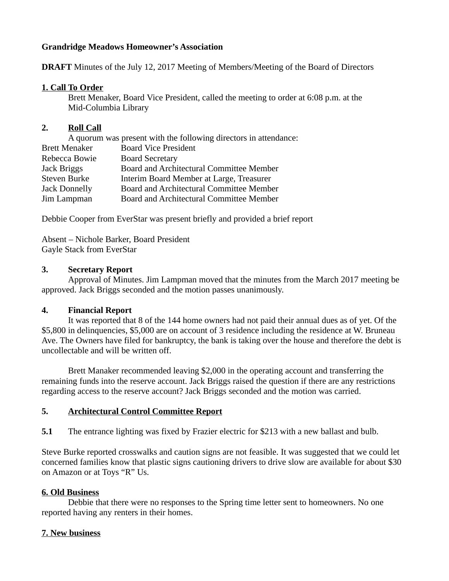# **Grandridge Meadows Homeowner's Association**

**DRAFT** Minutes of the July 12, 2017 Meeting of Members/Meeting of the Board of Directors

## **1. Call To Order**

Brett Menaker, Board Vice President, called the meeting to order at 6:08 p.m. at the Mid-Columbia Library

# **2. Roll Call**

| A quorum was present with the following directors in attendance: |
|------------------------------------------------------------------|
| <b>Board Vice President</b>                                      |
| <b>Board Secretary</b>                                           |
| Board and Architectural Committee Member                         |
| Interim Board Member at Large, Treasurer                         |
| Board and Architectural Committee Member                         |
| Board and Architectural Committee Member                         |
|                                                                  |

Debbie Cooper from EverStar was present briefly and provided a brief report

Absent – Nichole Barker, Board President Gayle Stack from EverStar

## **3. Secretary Report**

Approval of Minutes. Jim Lampman moved that the minutes from the March 2017 meeting be approved. Jack Briggs seconded and the motion passes unanimously.

# **4. Financial Report**

It was reported that 8 of the 144 home owners had not paid their annual dues as of yet. Of the \$5,800 in delinquencies, \$5,000 are on account of 3 residence including the residence at W. Bruneau Ave. The Owners have filed for bankruptcy, the bank is taking over the house and therefore the debt is uncollectable and will be written off.

Brett Manaker recommended leaving \$2,000 in the operating account and transferring the remaining funds into the reserve account. Jack Briggs raised the question if there are any restrictions regarding access to the reserve account? Jack Briggs seconded and the motion was carried.

# **5. Architectural Control Committee Report**

**5.1** The entrance lighting was fixed by Frazier electric for \$213 with a new ballast and bulb.

Steve Burke reported crosswalks and caution signs are not feasible. It was suggested that we could let concerned families know that plastic signs cautioning drivers to drive slow are available for about \$30 on Amazon or at Toys "R" Us.

# **6. Old Business**

Debbie that there were no responses to the Spring time letter sent to homeowners. No one reported having any renters in their homes.

# **7. New business**